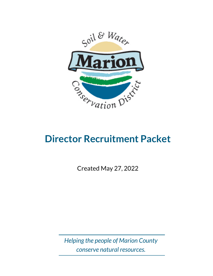

# **Director Recruitment Packet**

Created May 27, 2022

*Helping the people of Marion County conserve natural resources.*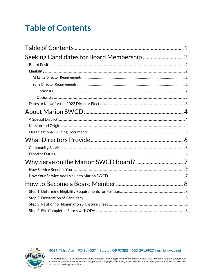## <span id="page-1-0"></span>**Table of Contents**



#### 408 N Third Ave | PO Box 537 | Stayton OR 97383 | 503-391.9927 | marionswcd.net

The Marion SWCD is an equal opportunity employer, providing services to the public without regard to race, religion, color, sexual orientation, gender identity, national origin, mental or physical disability, marital statu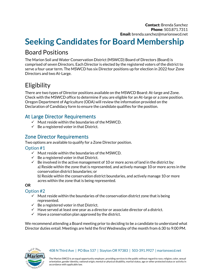## <span id="page-2-0"></span>**Seeking Candidates for Board Membership**

#### <span id="page-2-1"></span>Board Positions

The Marion Soil and Water Conservation District (MSWCD) Board of Directors (Board) is comprised of seven Directors. Each Director is elected by the registered voters of the district to serve a four-year term. The MSWCD has six Director positions up for election in 2022 four Zone Directors and two At-Large.

### <span id="page-2-2"></span>**Eligibility**

There are two types of Director positions available on the MSWCD Board: At-large and Zone. Check with the MSWCD office to determine if you are eligible for an At-large or a zone position. Oregon Department of Agriculture (ODA) will review the information provided on the Declaration of Candidacy form to ensure the candidate qualifies for the position.

#### <span id="page-2-3"></span>At Large Director Requirements

- $\checkmark$  Must reside within the boundaries of the MSWCD.
- $\checkmark$  Be a registered voter in that District.

#### <span id="page-2-4"></span>Zone Director Requirements

Two options are available to qualify for a Zone Director position.

#### <span id="page-2-5"></span>Option #1

- $\checkmark$  Must reside within the boundaries of the MSWCD.
- $\checkmark$  Be a registered voter in that District.
- $\checkmark$  Be involved in the active management of 10 or more acres of land in the district by: a) Reside within the zone that is represented, and actively manage 10 or more acres in the conservation district boundaries; or

b) Reside within the conservation district boundaries, and actively manage 10 or more acres within the zone that is being represented.

#### **OR**

#### <span id="page-2-6"></span>Option #2

- $\checkmark$  Must reside within the boundaries of the conservation district zone that is being represented.
- $\checkmark$  Be a registered voter in that District.
- $\checkmark$  Have served at least one year as a director or associate director of a district.
- $\checkmark$  Have a conservation plan approved by the district.

We recommend attending a Board meeting prior to deciding to be a candidate to understand what Director duties entail. Meetings are held the first Wednesday of the month from 6:30 to 9:00 PM.

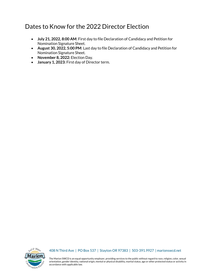#### <span id="page-3-0"></span>Dates to Know for the 2022 Director Election

- **July 21, 2022, 8:00 AM**: First day to file Declaration of Candidacy and Petition for Nomination Signature Sheet.
- **August 30, 2022, 5:00 PM**: Last day to file Declaration of Candidacy and Petition for Nomination Signature Sheet.
- **November 8, 2022:** Election Day.
- **January 1, 2023:** First day of Director term.



#### 408 N Third Ave | PO Box 537 | Stayton OR 97383 | 503-391.9927 | marionswcd.net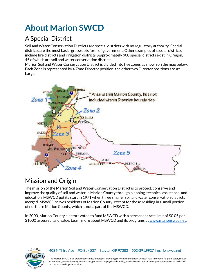# <span id="page-4-0"></span>**About Marion SWCD**

## <span id="page-4-1"></span>A Special District

Soil and Water Conservation Districts are special districts with no regulatory authority. Special districts are the most basic, grassroots form of government. Other examples of special districts include fire districts and irrigation districts. Approximately 900 special districts exist in Oregon, 45 of which are soil and water conservation districts.

Marion Soil and Water Conservation District is divided into five zones as shown on the map below. Each Zone is represented by a Zone Director position; the other two Director positions are At Large.



### <span id="page-4-2"></span>Mission and Origin

The mission of the Marion Soil and Water Conservation District is to protect, conserve and improve the quality of soil and water in Marion County through planning, technical assistance, and education. MSWCD got its start in 1971 when three smaller soil and water conservation districts merged. MSWCD serves residents of Marion County, except for those residing in a small portion of northern Marion County, which is not a part of the MSWCD.

In 2000, Marion County electors voted to fund MSWCD with a permanent rate limit of \$0.05 per \$1000 assessed land value. Learn more about MSWCD and its programs at [www.marionswcd.net.](http://www.marionswcd.net/)



#### 408 N Third Ave | PO Box 537 | Stayton OR 97383 | 503-391.9927 | marionswcd.net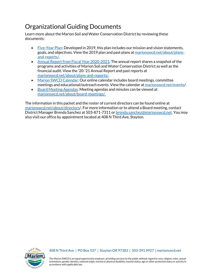### <span id="page-5-0"></span>Organizational Guiding Documents

Learn more about the Marion Soil and Water Conservation District by reviewing these documents:

- [Five-Year Plan:](https://www.marionswcd.net/wp-content/uploads/2022/03/5yrMarionSWCDStrategicPlanRevised2019.pdf) Developed in 2019, this plan includes our mission and vision statements, goals, and objectives. View the 2019 plan and past plans at [marionswcd.net/about/plans](https://www.marionswcd.net/about/plans-and-reports/)[and-reports/.](https://www.marionswcd.net/about/plans-and-reports/)
- [Annual Report from Fiscal Year 2020-2021:](https://www.marionswcd.net/wp-content/uploads/2022/03/2021-Final-Annual-Report-12.22.21.pdf) The annual report shares a snapshot of the programs and activities of Marion Soil and Water Conservation District as well as the financial audit. View the '20-'21 Annual Report and past reports at [marionswcd.net/about/plans-and-reports/.](https://www.marionswcd.net/about/plans-and-reports/)
- [Marion SWCD Calendar:](https://www.marionswcd.net/events/) Our online calendar includes board meetings, committee meetings and educational/outreach events. View the calendar at [marionswcd.net/events/](https://www.marionswcd.net/events/).
- [Board Meeting Agendas:](https://www.marionswcd.net/about/board-meetings/) Meeting agendas and minutes can be viewed at [marionswcd.net/about/board-meetings/.](https://www.marionswcd.net/about/board-meetings/)

The information in this packet and the roster of current directors can be found online at [marionswcd.net/about/directors/](https://www.marionswcd.net/about/directors/). For more information or to attend a Board meeting, contact District Manager Brenda Sanchez at 503-871-7311 or [brenda.sanchez@marionswcd.net.](mailto:brenda.sanchez@marionswcd.net) You may also visit our office by appointment located at 408 N Third Ave, Stayton.



#### 408 N Third Ave | PO Box 537 | Stayton OR 97383 | 503-391.9927 | marionswcd.net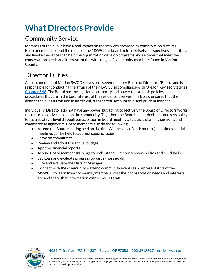## <span id="page-6-0"></span>**What Directors Provide**

### <span id="page-6-1"></span>Community Service

Members of the public have a real impact on the services provided by conservation districts. Board members extend the reach of the MSWCD; a board rich in skillsets, perspectives, identities, and lived experiences can help the organization develop programs and services that meet the conservation needs and interests of the wide range of community members found in Marion County.

### <span id="page-6-2"></span>Director Duties

A board member of Marion SWCD serves on a seven-member Board of Directors (Board) and is responsible for conducting the affairs of the MSWCD in compliance with Oregon Revised Statutes [Chapter 568.](https://oregon.public.law/statutes/ors_chapter_568) The Board has the legislative authority and power to establish policies and procedures that are in the best interest of the residents it serves. The Board ensures that the district achieves its mission in an ethical, transparent, accountable, and prudent manner.

Individually, Directors do not have any power, but acting collectively the Board of Directors works to create a positive impact on the community. Together, the Board makes decisions and sets policy for at a strategic level through participation in Board meetings, strategic planning sessions, and committee assignments. Board members also do the following:

- Attend the Board meeting held on the first Wednesday of each month (sometimes special meetings can be held to address specific issues).
- Serve on committees
- Review and adopt the annual budget.
- Approve financial reports.
- Attend Board member trainings to understand Director responsibilities and build skills.
- Set goals and evaluate progress towards those goals.
- Hire and evaluate the District Manager.
- Connect with the community attend community events as a representative of the MSWCD to learn from community members what their conservation needs and interests are and share that information with MSWCD staff.



#### 408 N Third Ave | PO Box 537 | Stayton OR 97383 | 503-391.9927 | marionswcd.net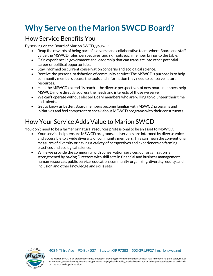## <span id="page-7-0"></span>**Why Serve on the Marion SWCD Board?**

#### <span id="page-7-1"></span>How Service Benefits You

By serving on the Board of Marion SWCD, you will:

- Reap the rewards of being part of a diverse and collaborative team, where Board and staff value the MSWCD roles, perspectives, and skill sets each member brings to the table.
- Gain experience in government and leadership that can translate into other potential career or political opportunities.
- Stay informed on current conservation concerns and ecological science.
- Receive the personal satisfaction of community service: The MSWCD's purpose is to help community members access the tools and information they need to conserve natural resources.
- Help the MSWCD extend its reach the diverse perspectives of new board members help MSWCD more directly address the needs and interests of those we serve
- We can't operate without elected Board members who are willing to volunteer their time and talents.
- Get to know us better. Board members become familiar with MSWCD programs and initiatives and feel competent to speak about MSWCD programs with their constituents.

### <span id="page-7-2"></span>How Your Service Adds Value to Marion SWCD

You don't need to be a farmer or natural resources professional to be an asset to MSWCD.

- Your service helps ensure MSWCD programs and services are informed by diverse voices and accessible to a wide diversity of community members. This can mean the conventional measures of diversity or having a variety of perspectives and experiences on farming practices and ecological science.
- While we provide the community with conservation services, our organization is strengthened by having Directors with skill sets in financial and business management, human resources, public service, education, community organizing, diversity, equity, and inclusion and other knowledge and skills sets.



#### 408 N Third Ave | PO Box 537 | Stayton OR 97383 | 503-391.9927 | marionswcd.net